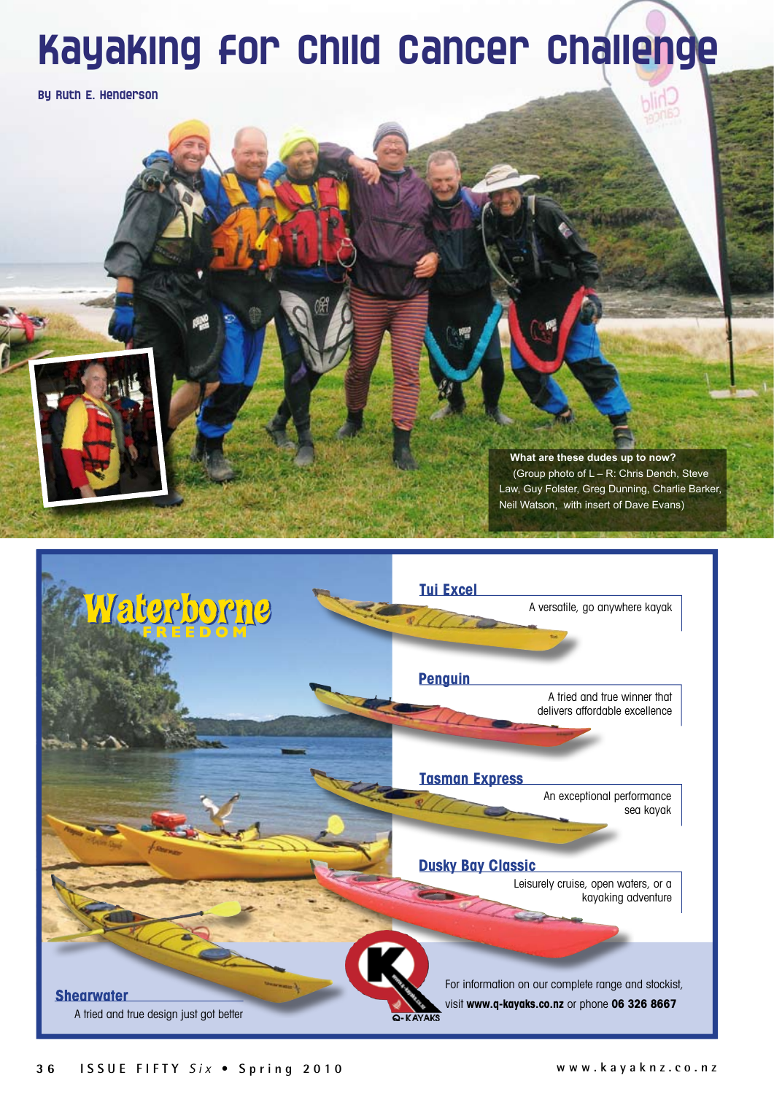## Kayaking for Child Cancer Challenge

By Ruth E. Henderson

**What are these dudes up to now?** (Group photo of L – R: Chris Dench, Steve Law, Guy Folster, Greg Dunning, Charlie Barker, Neil Watson, with insert of Dave Evans)